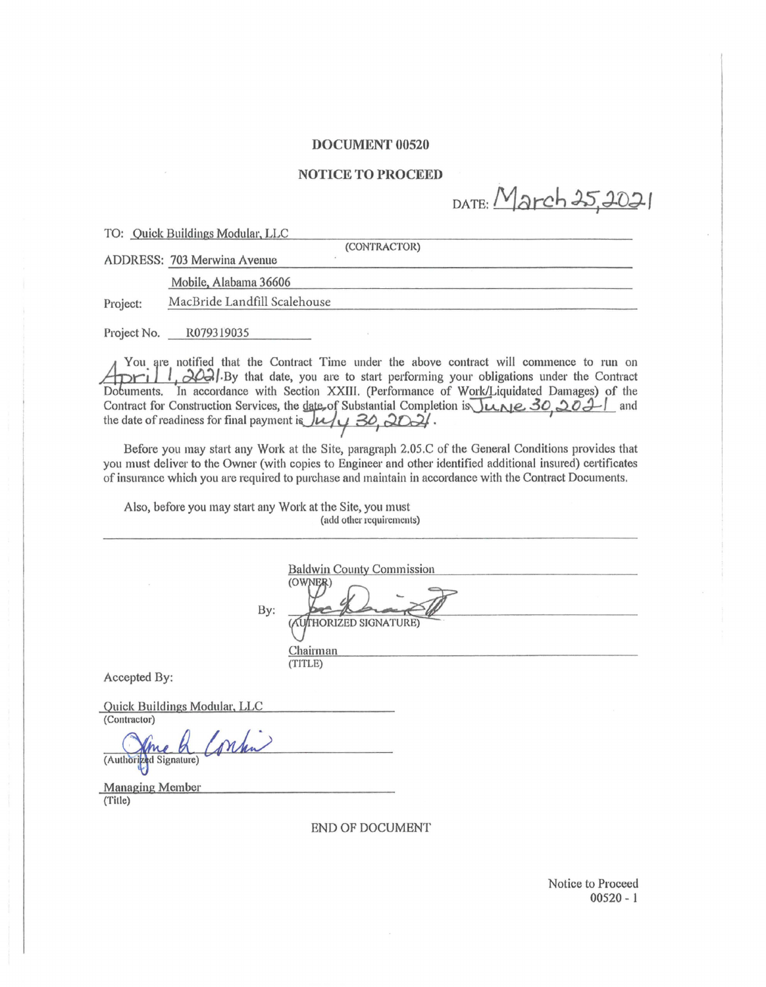#### DOCUMENT 00520

#### NOTICE TO PROCEED

DATE: March 25, 2021

TO: Quick Buildings Modular, LLC

(CONTRACTOR)

ADDRESS: 703 Merwina Avenue

Mobile, Alabama 36606

Project: MacBride Landfill Scalehouse

Project No. R079319035

You are notified that the Contract Time under the above contract will commence to run on /-.f-+-"'-'---L-JL-..:+..i.o<....>:=-=-/·BY that date, you are to start performing your obligations under the Contract Dobuments. In accordance with Section XXIII. (Performance of Work/Liquidated Damages) of the Contract for Construction Services, the date of Substantial Completion is  $\overline{L_{LNE}}$  30, 2011 and the date of readiness for final payment is  $\overline{L_{L}}$  30, 2021.

Before you may start any Work at the Site, paragraph 2.05.C of the General Conditions provides that you must deliver to the Owner (with copies to Engineer and other identified additional insured) certificates of insmance which you are required to purchase and maintain in accordance with the Contract Documents.

Also, before you may start any Work at the Site, you must (add other requirements)

**Baldwin County Commission** (OWNER) By: (AUTHORIZED SIGNATURE) Chairman (TITLE) Accepted By: Quick Buildings Modular, LLC (Contractor) prhn (Authorized Signature)

Managing Member (Title)

END OF DOCUMENT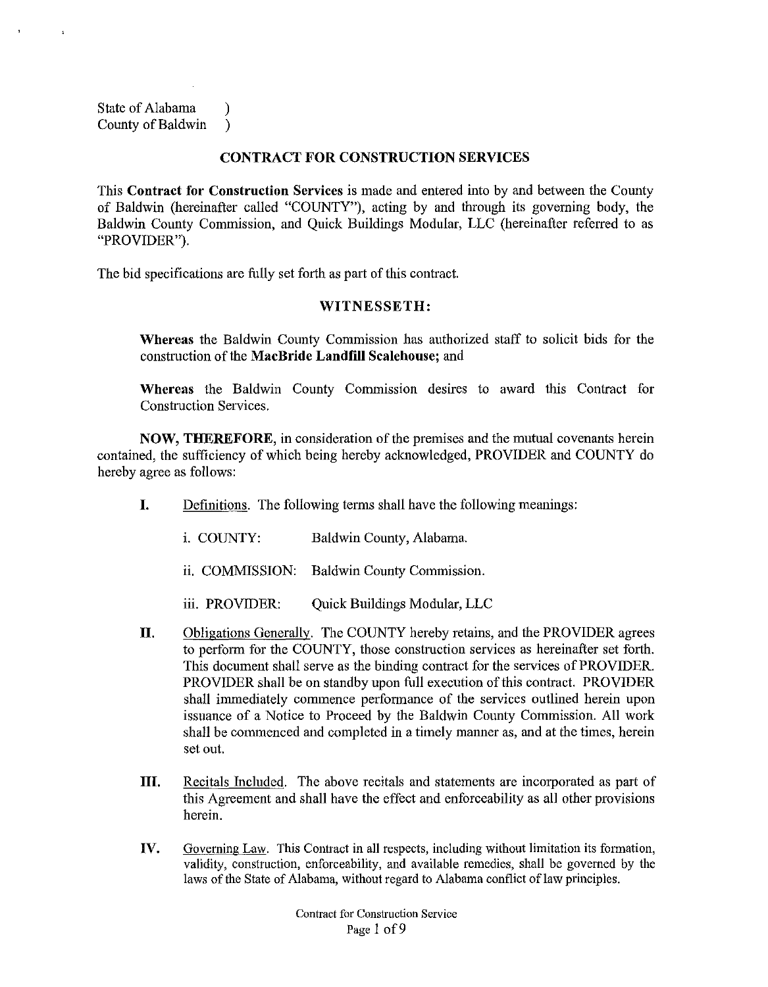State of Alabama (1) County of Baldwin )

## **CONTRACT FOR CONSTRUCTION SERVICES**

This **Contract for Construction Services** is made and entered into by and between the County of Baldwin (hereinafter called "COUNTY"), acting by and through its governing body, the Baldwin County Commission, and Quick Buildings Modular, LLC (hereinafter referred to as "PROVIDER").

The bid specifications are fully set forth as part of this contract.

# **WITNESSETH:**

**Whereas** the Baldwin County Commission has authorized staff to solicit bids for the construction of the **MacBride Landfill Scalehouse;** and

**Whereas** the Baldwin County Commission desires to award this Contract for Construction Services.

**NOW, THEREFORE,** in consideration of the premises and the mutual covenants herein contained, the sufficiency of which being hereby acknowledged, PROVIDER and COUNTY do hereby agree as follows:

- **I. Definitions.** The following terms shall have the following meanings:
	- i. COUNTY: Baldwin County, Alabama.
	- ii. COMMISSION: Baldwin County Commission.
	- iii. PROVIDER: Quick Buildings Modular, LLC
- **II.** Obligations Generally. The COUNTY hereby retains, and the PROVIDER agrees to perform for the COUNTY, those construction services as hereinafter set forth. This document shall serve as the binding contract for the services of PROVIDER. PROVIDER shall be on standby upon full execution of this contract. PROVIDER shall immediately commence performance of the services outlined herein upon issuance of a Notice to Proceed by the Baldwin County Commission. All work shall be commenced and completed in a timely manner as, and at the times, herein set out.
- **III.** Recitals Included. The above recitals and statements are incorporated as part of this Agreement and shall have the effect and enforceability as all other provisions herein.
- **IV.** Governing Law. This Contract in all respects, including without limitation its formation, validity, construction, enforceability, and available remedies, shall be governed by the laws of the State of Alabama, without regard to Alabama conflict of law principles.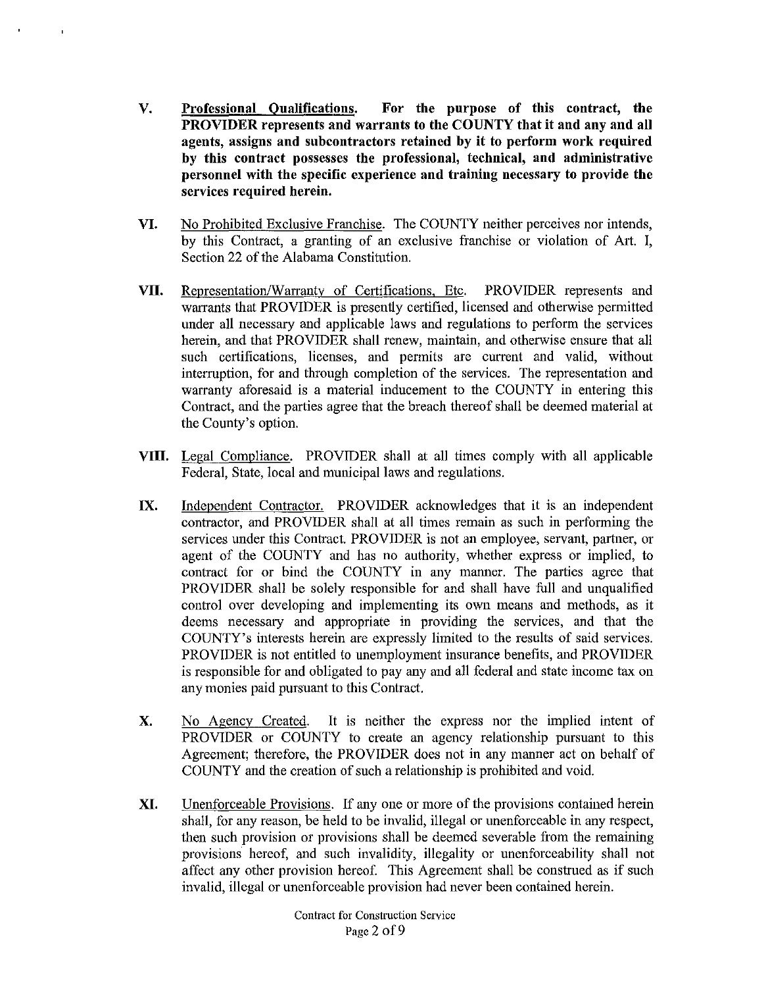- V. Professional Qualifications. For the purpose of this contract, the PROVIDER represents and warrants to the COUNTY that it and any and all agents, assigns and subcontractors retained by it to perform work required by this contract possesses the professional, technical, and administrative personnel with the specific experience and training necessary to provide the services required herein.
- VI. No Prohibited Exclusive Franchise. The COUNTY neither perceives nor intends, by this Contract, a granting of an exclusive franchise or violation of Art. I, Section 22 of the Alabama Constitution.
- VII. Representation/Warranty of Certifications, Etc. PROVIDER represents and warrants that PROVIDER is presently certified, licensed and otherwise permitted under all necessary and applicable laws and regulations to perform the services herein, and that PROVIDER shall renew, maintain, and otherwise ensure that all such certifications, licenses, and permits are current and valid, without interruption, for and through completion of the services. The representation and warranty aforesaid is a material inducement to the COUNTY in entering this Contract, and the parties agree that the breach thereof shall be deemed material at the County's option.
- VIII. Legal Compliance. PROVIDER shall at all times comply with all applicable Federal, State, local and municipal laws and regulations.
- IX. Independent Contractor. PROVIDER acknowledges that it is an independent contractor, and PROVIDER shall at all times remain as such in performing the services under this Contract. PROVIDER is not an employee, servant, partner, or agent of the COUNTY and has no authority, whether express or implied, to contract for or bind the COUNTY in any manner. The parties agree that PROVIDER shall be solely responsible for and shall have full and unqualified control over developing and implementing its own means and methods, as it deems necessary and appropriate in providing the services, and that the COUNTY's interests herein are expressly limited to the results of said services. PROVIDER is not entitled to unemployment insurance benefits, and PROVIDER is responsible for and obligated to pay any and all federal and state income tax on any monies paid pursuant to this Contract.
- X. No Agency Created. It is neither the express nor the implied intent of PROVIDER or COUNTY to create an agency relationship pursuant to this Agreement; therefore, the PROVIDER does not in any manner act on behalf of COUNTY and the creation of such a relationship is prohibited and void.
- XI. Unenforceable Provisions. If any one or more of the provisions contained herein shall, for any reason, be held to be invalid, illegal or unenforceable in any respect, then such provision or provisions shall be deemed severable from the remaining provisions hereof, and such invalidity, illegality or unenforceability shall not affect any other provision hereof. This Agreement shall be construed as if such invalid, illegal or unenforceable provision had never been contained herein.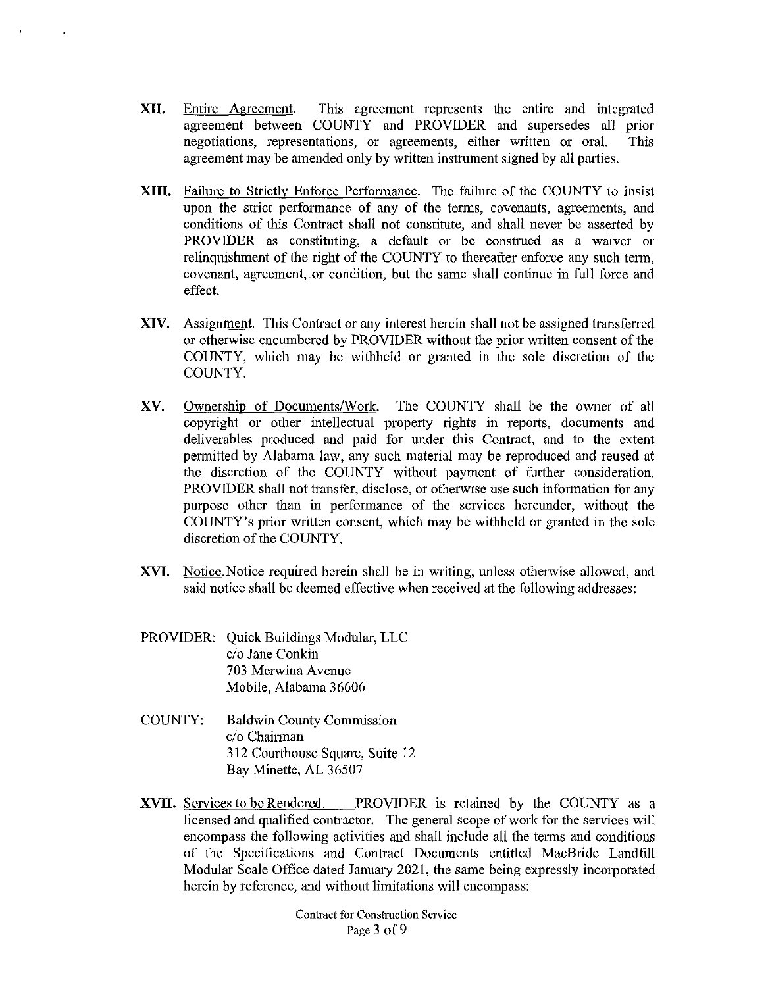- **XII.** Entire Agreement. This agreement represents the entire and integrated agreement between COUNTY and PROVIDER and supersedes all prior negotiations, representations, or agreements, either written or oral. This agreement may be amended only by written instrument signed by all parties.
- **XIII.** Failure to Strictly Enforce Performance. The failure of the COUNTY to insist upon the strict performance of any of the terms, covenants, agreements, and conditions of this Contract shall not constitute, and shall never be asserted by PROVIDER as constituting, a default or be construed as a waiver or relinquishment of the right of the COUNTY to thereafter enforce any such term, covenant, agreement, or condition, but the same shall continue in full force and effect.
- **XIV.** Assignment. This Contract or any interest herein shall not be assigned transferred or otherwise encumbered by PROVIDER without the prior written consent of the COUNTY, which may be withheld or granted in the sole discretion of the COUNTY.
- XV. Ownership of Documents/Work. The COUNTY shall be the owner of all copyright or other intellectual property rights in reports, documents and deliverables produced and paid for under this Contract, and to the extent permitted by Alabama law, any such material may be reproduced and reused at the discretion of the COUNTY without payment of further consideration. PROVIDER shall not transfer, disclose, or otherwise use such information for any purpose other than in performance of the services hereunder, without the COUNTY's prior written consent, which may be withheld or granted in the sole discretion of the COUNTY.
- **XVI.** Notice. Notice required herein shall be in writing, unless otherwise allowed, and said notice shall be deemed effective when received at the following addresses:
- PROVIDER: Quick Buildings Modular, LLC c/o Jane Conkin 703 Merwina Avenue Mobile, Alabama 36606
- COUNTY: Baldwin County Commission c/o Chairman 312 Courthouse Square, Suite 12 Bay Minette, AL 36507
- **XVII.** Services to be Rendered. PROVIDER is retained by the COUNTY as a licensed and qualified contractor. The general scope of work for the services will encompass the following activities and shall include all the terms and conditions of the Specifications and Contract Documents entitled MacBride Landfill Modular Scale Office dated January 2021, the same being expressly incorporated herein by reference, and without limitations will encompass: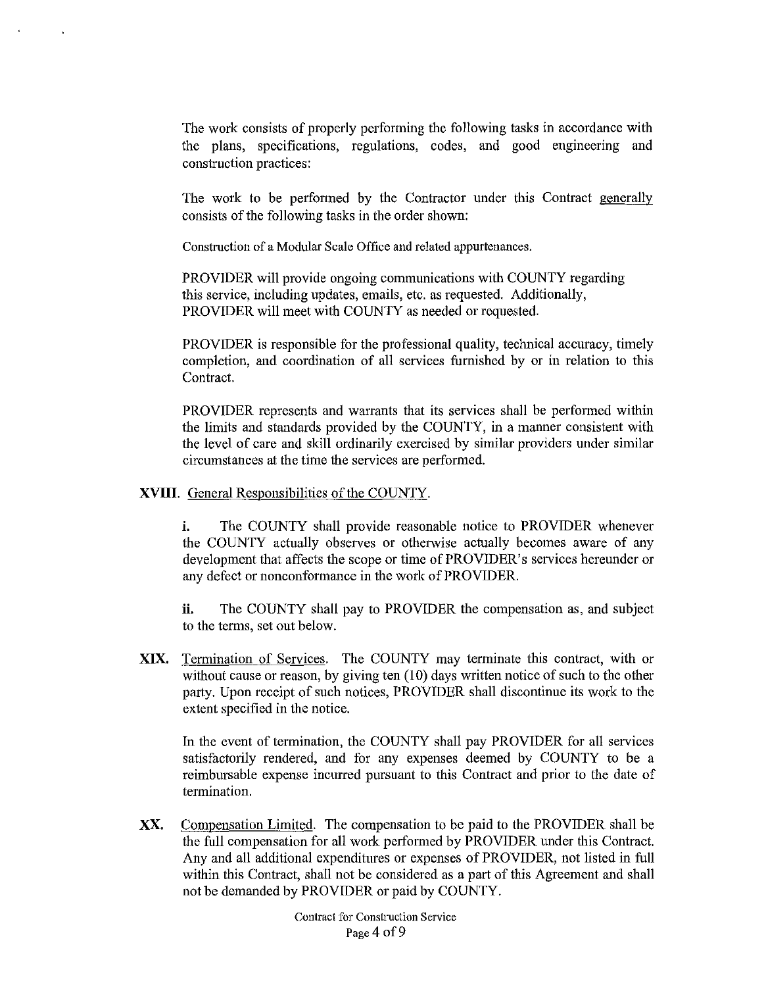The work consists of properly performing the following tasks in accordance with the plans, specifications, regulations, codes, and good engineering and construction practices:

The work to be performed by the Contractor under this Contract generally consists of the following tasks in the order shown:

Construction of a Modular Scale Office and related appurtenances.

PROVIDER will provide ongoing communications with COUNTY regarding this service, including updates, emails, etc. as requested. Additionally, PROVIDER will meet with COUNTY as needed or requested.

PROVIDER is responsible for the professional quality, technical accuracy, timely completion, and coordination of all services furnished by or in relation to this Contract.

PROVIDER represents and warrants that its services shall be performed within the limits and standards provided by the COUNTY, in a manner consistent with the level of care and skill ordinarily exercised by similar providers under similar circumstances at the time the services are performed.

# **XVIII.** General Responsibilities of the COUNTY.

**i.** The COUNTY shall provide reasonable notice to PROVIDER whenever the COUNTY actually observes or otherwise actually becomes aware of any development that affects the scope or time of PROVIDER's services hereunder or any defect or nonconformance in the work of PROVIDER.

**ii.** The COUNTY shall pay to PROVIDER the compensation as, and subject to the terms, set out below.

**XIX.** Termination of Services. The COUNTY may terminate this contract, with or without cause or reason, by giving ten  $(10)$  days written notice of such to the other party. Upon receipt of such notices, PROVIDER shall discontinue its work to the extent specified in the notice.

In the event of termination, the COUNTY shall pay PROVIDER for all services satisfactorily rendered, and for any expenses deemed by COUNTY to be a reimbursable expense incurred pursuant to this Contract and prior to the date of termination.

**XX.** Compensation Limited. The compensation to be paid to the PROVIDER shall be the full compensation for all work performed by PROVIDER under this Contract. Any and all additional expenditures or expenses of PROVIDER, not listed in full within this Contract, shall not be considered as a part of this Agreement and shall not be demanded by PROVIDER or paid by COUNTY.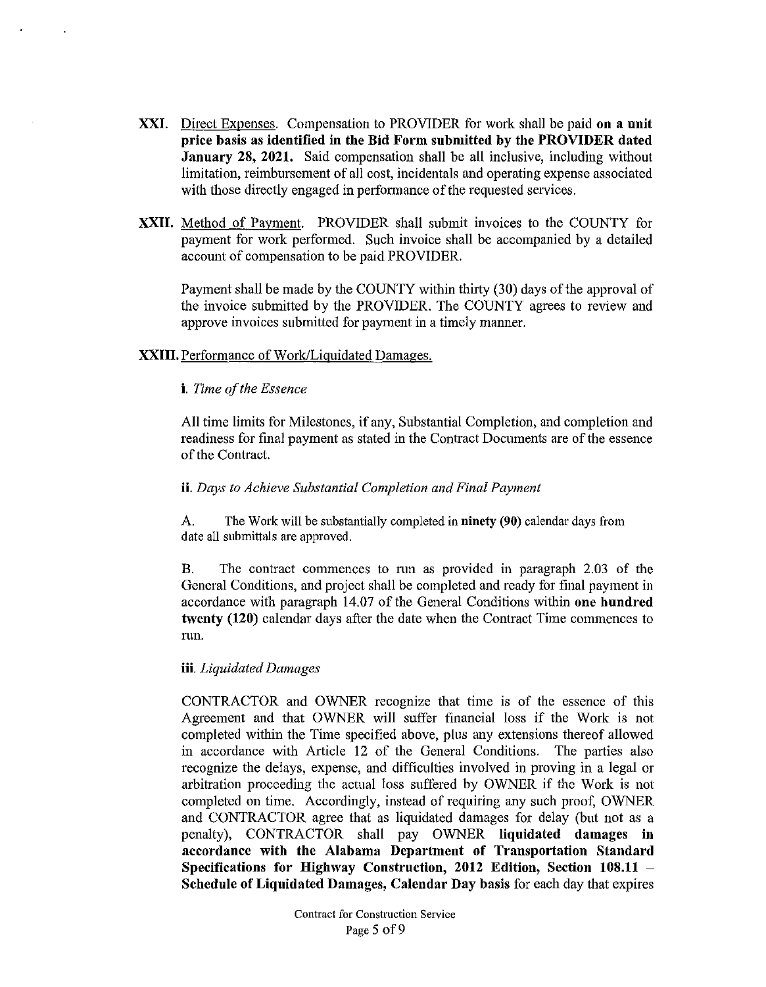- **XXI.** Direct Expenses. Compensation to PROVIDER for work shall be paid **on a unit price basis as identified in the Bid Form submitted by the PROVIDER dated January 28, 2021.** Said compensation shall be all inclusive, including without limitation, reimbursement of all cost, incidentals and operating expense associated with those directly engaged in performance of the requested services.
- **XXII.** Method of Payment. PROVIDER shall submit invoices to the COUNTY for payment for work perfonned. Such invoice shall be accompanied by a detailed account of compensation to be paid PROVIDER.

Payment shall be made by the COUNTY within thirty (30) days of the approval of the invoice submitted by the PROVIDER. The COUNTY agrees to review and approve invoices submitted for payment in a timely manner.

## **XXIII.** Performance of Work/Liquidated Damages.

#### **i.** *Time of the Essence*

All time limits for Milestones, if any, Substantial Completion, and completion and readiness for final payment as stated in the Contract Documents are of the essence of the Contract.

#### **ii.** *Days to Achieve Substantial Completion and Final Payment*

A. The Work will be substantially completed in **ninety (90)** calendar days from date all submittals are approved.

B. The contract commences to nm as provided in paragraph 2.03 of the General Conditions, and project shall be completed and ready for final payment in accordance with paragraph 14.07 of the General Conditions within **one hundred twenty (120)** calendar days after the date when the Contract Time commences to run.

## **iii.** *Liquidated Damages*

CONTRACTOR and OWNER recognize that time is of the essence of this Agreement and that OWNER will suffer financial loss if the Work is not completed within the Time specified above, plus any extensions thereof allowed in accordance with Article 12 of the General Conditions. The parties also recognize the delays, expense, and difficulties involved in proving in a legal or arbitration proceeding the actual loss suffored by OWNER if the Work is not completed on time. Accordingly, instead of requiring any such proof, OWNER and CONTRACTOR agree that as liquidated damages for delay (but not as a penalty), CONTRACTOR shall pay OWNER **liquidated damages in accordance with the Alabama Department of Transportation Standard Specifications for Highway Construction, 2012 Edition, Section 108.11** - **Schedule of Liquidated Damages, Calendar Day basis** for each day that expires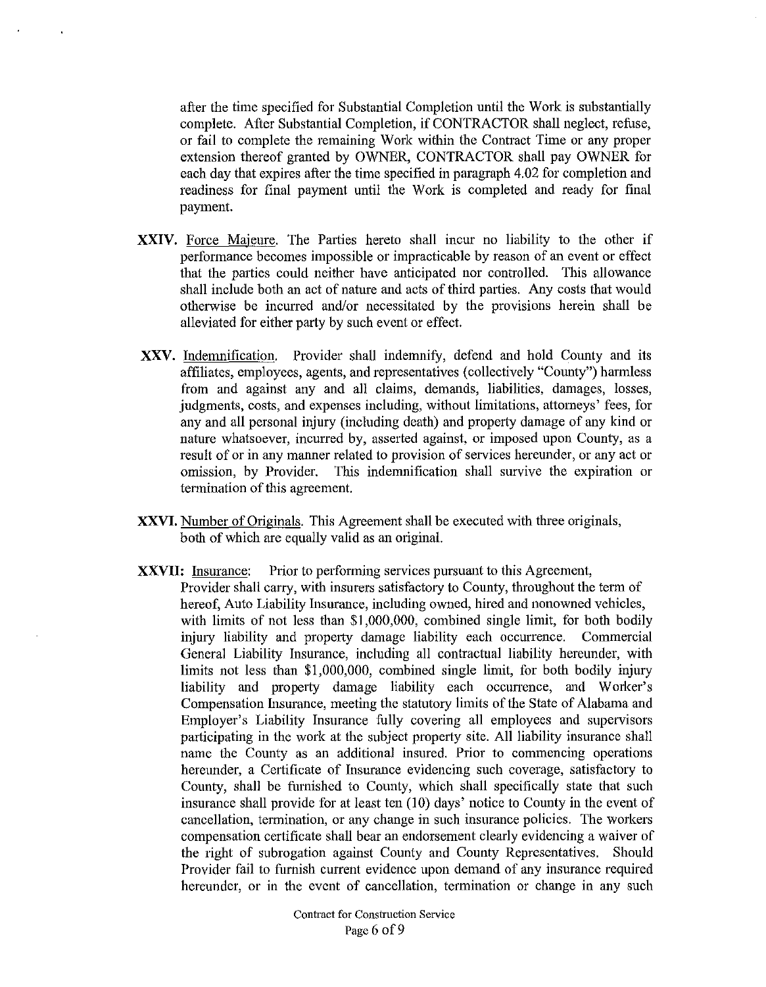after the time specified for Substantial Completion until the Work is substantially complete. After Substantial Completion, if CONTRACTOR shall neglect, refuse, or fail to complete the remaining Work within the Contract Time or any proper extension thereof granted by OWNER, CONTRACTOR shall pay OWNER for each day that expires after the time specified in paragraph 4.02 for completion and readiness for final payment until the Work is completed and ready for final payment.

- **XXIV.** Force Majeure. The Parties hereto shall incur no liability to the other if performance becomes impossible or impracticable by reason of an event or effect that the parties could neither have anticipated nor controlled. This allowance shall include both an act of nature and acts of third parties. Any costs that would otherwise be incurred and/or necessitated by the provisions herein shall be alleviated for either party by such event or effect.
- **XXV.** Indemnification. Provider shall indemnify, defend and hold County and its affiliates, employees, agents, and representatives (collectively "County") harmless from and against any and all claims, demands, liabilities, damages, losses, judgments, costs, and expenses including, without limitations, attorneys' fees, for any and all personal injury (including death) and property damage of any kind or nature whatsoever, incurred by, asserted against, or imposed upon County, as a result of or in any manner related to provision of services hereunder, or any act or omission, by Provider. This indenmification shall survive the expiration or termination of this agreement.
- **XXVI.** Number of Originals. This Agreement shall be executed with three originals, both of which are equally valid as an original.
- **XXVII:** Insurance: Prior to performing services pursuant to this Agreement, Provider shall carry, with insurers satisfactory to County, throughout the term of hereof, Auto Liability Insurance, including owned, hired and nonowned vehicles, with limits of not less than \$1,000,000, combined single limit, for both bodily injury liability and property damage liability each occurrence. Commercial General Liability Insurance, including all contractual liability hereunder, with limits not less than \$1,000,000, combined single limit, for both bodily injury liability and property damage liability each occurrence, and Worker's Compensation Insurance, meeting the statutory limits of the State of Alabama and Employer's Liability Insurance fully covering all employees and supervisors participating in the work at the subject property site. All liability insurance shall name the County as an additional insured. Prior to commencing operations hereunder, a Certificate of Insurance evidencing such coverage, satisfactory to County, shall be furnished to County, which shall specifically state that such insurance shall provide for at least ten  $(10)$  days' notice to County in the event of cancellation, termination, or any change in such insurance policies. The workers compensation certificate shall bear an endorsement clearly evidencing a waiver of the right of subrogation against County and County Representatives. Should Provider fail to furnish current evidence upon demand of any insurance required hereunder, or in the event of cancellation, termination or change in any such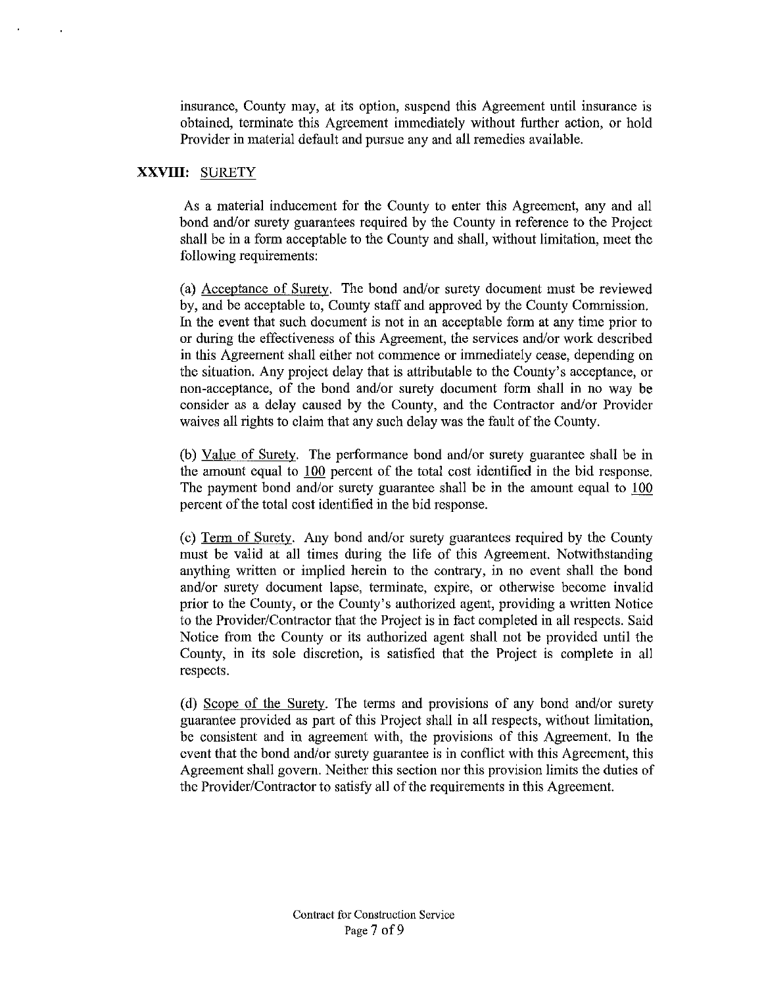insurance, County may, at its option, suspend this Agreement until insurance is obtained, terminate this Agreement immediately without further action, or hold Provider in material default and pursue any and all remedies available.

# **XXVIII:** SURETY

As a material inducement for the County to enter this Agreement, any and all bond and/or surety guarantees required by the County in reference to the Project shall be in a form acceptable to the County and shall, without limitation, meet the following requirements:

(a) Acceptance of Surety. The bond and/or surety document must be reviewed by, and be acceptable to, County staff and approved by the County Commission. In the event that such document is not in an acceptable form at any time prior to or during the effectiveness of this Agreement, the services and/or work described in this Agreement shall either not commence or immediately cease, depending on the situation. Any project delay that is attributable to the County's acceptance, or non-acceptance, of the bond and/or surety document form shall in no way be consider as a delay caused by the County, and the Contractor and/or Provider waives all rights to claim that any such delay was the fanlt of the County.

(b) Value of Surety. The performance bond and/or surety guarantee shall be in the amount equal to 100 percent of the total cost identified in the bid response. The payment bond and/or surety guarantee shall be in the amount equal to 100 percent of the total cost identified in the bid response.

(c) Term of Surety. Any bond and/or surety guarantees required by the County must be valid at all times during the life of this Agreement. Notwithstanding anything written or implied herein to the contrary, in no event shall the bond and/or surety document lapse, terminate, expire, or otherwise become invalid prior to the County, or the County's authorized agent, providing a written Notice to the Provider/Contractor that the Project is in fact completed in all respects. Said Notice from the County or its authorized agent shall not be provided until the County, in its sole discretion, is satisfied that the Project is complete in all respects.

( d) Scope of the Surety. The terms and provisions of any bond and/or surety guarantee provided as part of this Project shall in all respects, without limitation, be consistent and in agreement with, the provisions of this Agreement. In the event that the bond and/or surety guarantee is in conflict with this Agreement, this Agreement shall govern. Neither this section nor this provision limits the duties of the Provider/Contractor to satisfy all of the requirements in this Agreement.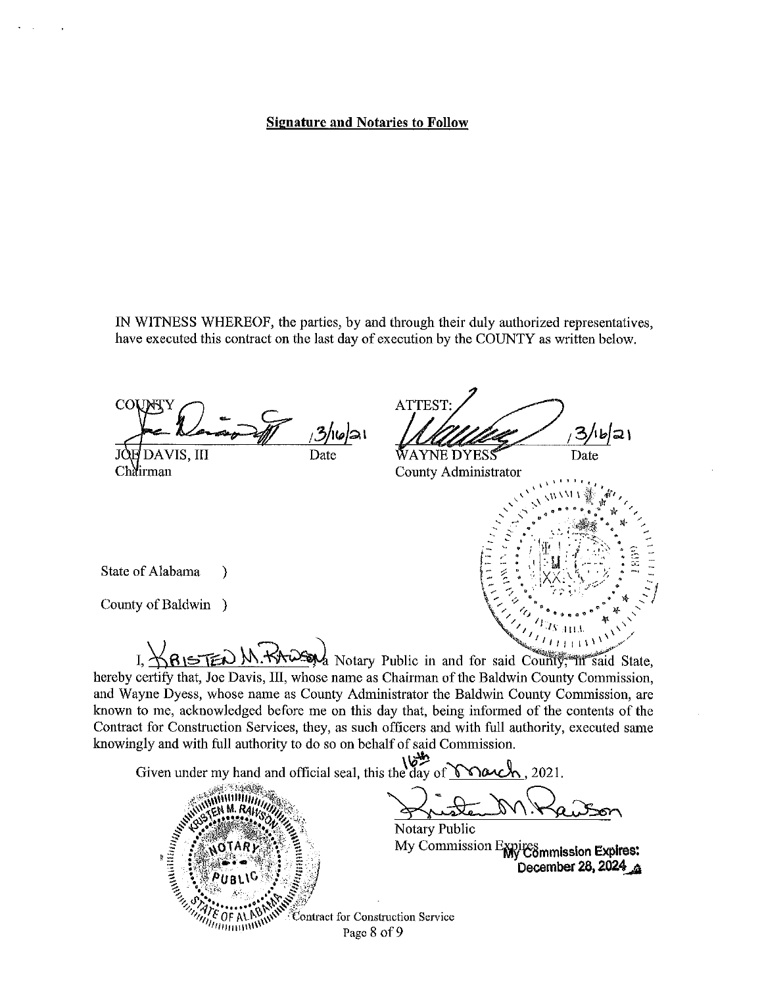### Signature and Notaries to Follow

IN WITNESS WHEREOF, the parties, by and through their duly authorized representatives, have executed this contract on the last day of execution by the COUNTY as written below.

*;3/*116/21 AVIS, III Date JÓ. Chairman

**ATTEST** ハりつり WAYNE DYESS Date

County Administrator



State of Alabama )

County of Baldwin )

 $\sqrt{2\sqrt{1+\frac{1}{1+\frac{1}{1+\frac{1}{1+\frac{1}{1+\frac{1}{1+\frac{1}{1+\frac{1}{1+\frac{1}{1+\frac{1}{1+\frac{1}{1+\frac{1}{1+\frac{1}{1+\frac{1}{1+\frac{1}{1+\frac{1}{1+\frac{1}{1+\frac{1}{1+\frac{1}{1+\frac{1}{1+\frac{1}{1+\frac{1}{1+\frac{1}{1+\frac{1}{1+\frac{1}{1+\frac{1}{1+\frac{1}{1+\frac{1}{1+\frac{1}{1+\frac{1}{1+\frac{1}{1+\frac{1}{1+\frac{1}{1+\frac{1}{1+\frac{1}{1+\frac{1}{1+\frac$ I,  $\bigvee_{i}$   $\bigwedge_{i}$   $\bigwedge_{i}$   $\bigwedge_{i}$   $\bigwedge_{i}$   $\bigvee_{i}$   $\bigvee_{i}$   $\bigvee_{i}$   $\bigvee_{i}$   $\bigvee_{i}$   $\bigvee_{i}$   $\bigvee_{i}$   $\bigvee_{i}$   $\bigvee_{i}$   $\bigvee_{i}$   $\bigvee_{i}$   $\bigvee_{i}$   $\bigvee_{i}$   $\bigvee_{i}$   $\bigvee_{i}$   $\bigvee_{i}$   $\bigvee_{i}$ hereby certify that, Joe Davis, III, whose name as Chairman of the Baldwin County Commission, and Wayne Dyess, whose name as County Administrator the Baldwin County Commission, are known to me, acknowledged before me on this day that, being informed of the contents of the Contract for Construction Services, they, as such officers and with full authority, executed same knowingly and with full authority to do so on behalf of said Commission.